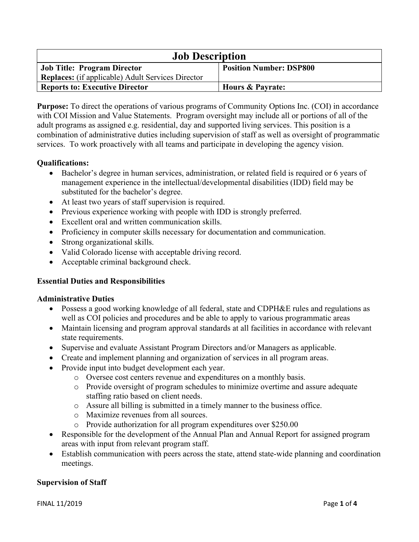| <b>Job Description</b>                            |                                |
|---------------------------------------------------|--------------------------------|
| <b>Job Title: Program Director</b>                | <b>Position Number: DSP800</b> |
| Replaces: (if applicable) Adult Services Director |                                |
| <b>Reports to: Executive Director</b>             | <b>Hours &amp; Payrate:</b>    |

**Purpose:** To direct the operations of various programs of Community Options Inc. (COI) in accordance with COI Mission and Value Statements. Program oversight may include all or portions of all of the adult programs as assigned e.g. residential, day and supported living services. This position is a combination of administrative duties including supervision of staff as well as oversight of programmatic services. To work proactively with all teams and participate in developing the agency vision.

### **Qualifications:**

- Bachelor's degree in human services, administration, or related field is required or 6 years of management experience in the intellectual/developmental disabilities (IDD) field may be substituted for the bachelor's degree.
- At least two years of staff supervision is required.
- Previous experience working with people with IDD is strongly preferred.
- Excellent oral and written communication skills.
- Proficiency in computer skills necessary for documentation and communication.
- Strong organizational skills.
- Valid Colorado license with acceptable driving record.
- Acceptable criminal background check.

#### **Essential Duties and Responsibilities**

#### **Administrative Duties**

- Possess a good working knowledge of all federal, state and CDPH&E rules and regulations as well as COI policies and procedures and be able to apply to various programmatic areas
- Maintain licensing and program approval standards at all facilities in accordance with relevant state requirements.
- Supervise and evaluate Assistant Program Directors and/or Managers as applicable.
- Create and implement planning and organization of services in all program areas.
- Provide input into budget development each year.
	- o Oversee cost centers revenue and expenditures on a monthly basis.
	- o Provide oversight of program schedules to minimize overtime and assure adequate staffing ratio based on client needs.
	- o Assure all billing is submitted in a timely manner to the business office.
	- o Maximize revenues from all sources.
	- o Provide authorization for all program expenditures over \$250.00
- Responsible for the development of the Annual Plan and Annual Report for assigned program areas with input from relevant program staff.
- Establish communication with peers across the state, attend state-wide planning and coordination meetings.

#### **Supervision of Staff**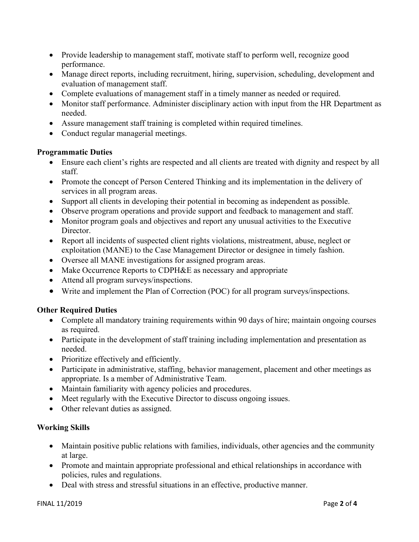- Provide leadership to management staff, motivate staff to perform well, recognize good performance.
- Manage direct reports, including recruitment, hiring, supervision, scheduling, development and evaluation of management staff.
- Complete evaluations of management staff in a timely manner as needed or required.
- Monitor staff performance. Administer disciplinary action with input from the HR Department as needed.
- Assure management staff training is completed within required timelines.
- Conduct regular managerial meetings.

### **Programmatic Duties**

- Ensure each client's rights are respected and all clients are treated with dignity and respect by all staff.
- Promote the concept of Person Centered Thinking and its implementation in the delivery of services in all program areas.
- Support all clients in developing their potential in becoming as independent as possible.
- Observe program operations and provide support and feedback to management and staff.
- Monitor program goals and objectives and report any unusual activities to the Executive Director.
- Report all incidents of suspected client rights violations, mistreatment, abuse, neglect or exploitation (MANE) to the Case Management Director or designee in timely fashion.
- Oversee all MANE investigations for assigned program areas.
- Make Occurrence Reports to CDPH&E as necessary and appropriate
- Attend all program surveys/inspections.
- Write and implement the Plan of Correction (POC) for all program surveys/inspections.

# **Other Required Duties**

- Complete all mandatory training requirements within 90 days of hire; maintain ongoing courses as required.
- Participate in the development of staff training including implementation and presentation as needed.
- Prioritize effectively and efficiently.
- Participate in administrative, staffing, behavior management, placement and other meetings as appropriate. Is a member of Administrative Team.
- Maintain familiarity with agency policies and procedures.
- Meet regularly with the Executive Director to discuss ongoing issues.
- Other relevant duties as assigned.

# **Working Skills**

- Maintain positive public relations with families, individuals, other agencies and the community at large.
- Promote and maintain appropriate professional and ethical relationships in accordance with policies, rules and regulations.
- Deal with stress and stressful situations in an effective, productive manner.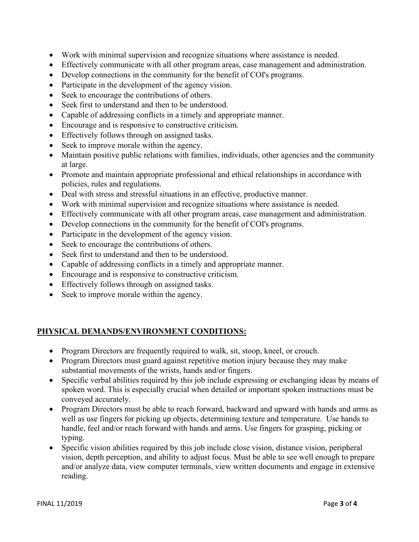- Work with minimal supervision and recognize situations where assistance is needed.
- Effectively communicate with all other program areas, case management and administration.
- Develop connections in the community for the benefit of COI's programs.
- Participate in the development of the agency vision.
- Seek to encourage the contributions of others.
- Seek first to understand and then to be understood.
- Capable of addressing conflicts in a timely and appropriate manner.
- Encourage and is responsive to constructive criticism.
- Effectively follows through on assigned tasks.
- Seek to improve morale within the agency.
- Maintain positive public relations with families, individuals, other agencies and the community at large.
- Promote and maintain appropriate professional and ethical relationships in accordance with policies, rules and regulations.
- Deal with stress and stressful situations in an effective, productive manner.
- Work with minimal supervision and recognize situations where assistance is needed.
- Effectively communicate with all other program areas, case management and administration.
- Develop connections in the community for the benefit of COI's programs.
- Participate in the development of the agency vision.
- Seek to encourage the contributions of others.
- Seek first to understand and then to be understood.
- Capable of addressing conflicts in a timely and appropriate manner.
- Encourage and is responsive to constructive criticism.
- Effectively follows through on assigned tasks.
- Seek to improve morale within the agency.

# **PHYSICAL DEMANDS/ENVIRONMENT CONDITIONS:**

- Program Directors are frequently required to walk, sit, stoop, kneel, or crouch.
- Program Directors must guard against repetitive motion injury because they may make substantial movements of the wrists, hands and/or fingers.
- Specific verbal abilities required by this job include expressing or exchanging ideas by means of spoken word. This is especially crucial when detailed or important spoken instructions must be conveyed accurately.
- Program Directors must be able to reach forward, backward and upward with hands and arms as well as use fingers for picking up objects, determining texture and temperature. Use hands to handle, feel and/or reach forward with hands and arms. Use fingers for grasping, picking or typing.
- Specific vision abilities required by this job include close vision, distance vision, peripheral vision, depth perception, and ability to adjust focus. Must be able to see well enough to prepare and/or analyze data, view computer terminals, view written documents and engage in extensive reading.